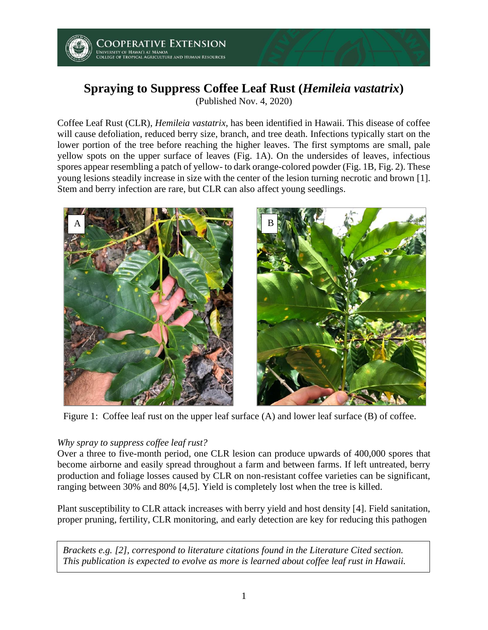

# **Spraying to Suppress Coffee Leaf Rust (***Hemileia vastatrix***)**

(Published Nov. 4, 2020)

Coffee Leaf Rust (CLR), *Hemileia vastatrix*, has been identified in Hawaii. This disease of coffee will cause defoliation, reduced berry size, branch, and tree death. Infections typically start on the lower portion of the tree before reaching the higher leaves. The first symptoms are small, pale yellow spots on the upper surface of leaves (Fig. 1A). On the undersides of leaves, infectious spores appear resembling a patch of yellow- to dark orange-colored powder (Fig. 1B, Fig. 2). These young lesions steadily increase in size with the center of the lesion turning necrotic and brown [1]. Stem and berry infection are rare, but CLR can also affect young seedlings.





Figure 1: Coffee leaf rust on the upper leaf surface (A) and lower leaf surface (B) of coffee.

## *Why spray to suppress coffee leaf rust?*

Over a three to five-month period, one CLR lesion can produce upwards of 400,000 spores that become airborne and easily spread throughout a farm and between farms. If left untreated, berry production and foliage losses caused by CLR on non-resistant coffee varieties can be significant, ranging between 30% and 80% [4,5]. Yield is completely lost when the tree is killed.

Plant susceptibility to CLR attack increases with berry yield and host density [4]. Field sanitation, proper pruning, fertility, CLR monitoring, and early detection are key for reducing this pathogen

*Brackets e.g. [2], correspond to literature citations found in the Literature Cited section. This publication is expected to evolve as more is learned about coffee leaf rust in Hawaii.*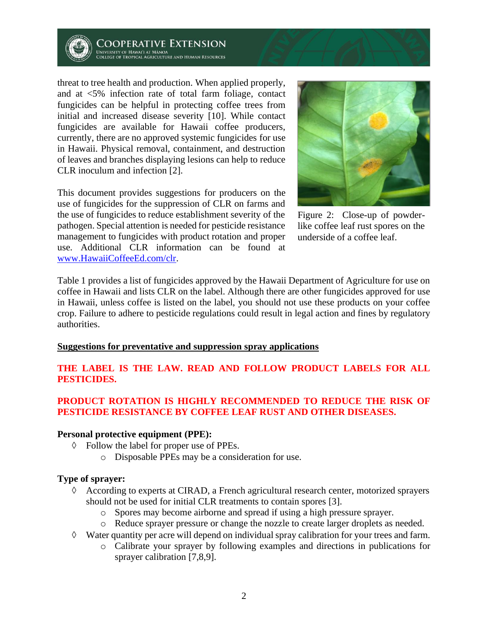

Cooperative Extension NOUS ET ALLEY AND LATER STUPE<br>INIVERSITY OF HAWAI'I AT MÂNOA<br>COLLEGE OF TROPICAL AGRICULTURE AND HUMAN RESOURCES

threat to tree health and production. When applied properly, and at <5% infection rate of total farm foliage, contact fungicides can be helpful in protecting coffee trees from initial and increased disease severity [10]. While contact fungicides are available for Hawaii coffee producers, currently, there are no approved systemic fungicides for use in Hawaii. Physical removal, containment, and destruction of leaves and branches displaying lesions can help to reduce CLR inoculum and infection [2].

This document provides suggestions for producers on the use of fungicides for the suppression of CLR on farms and the use of fungicides to reduce establishment severity of the pathogen. Special attention is needed for pesticide resistance management to fungicides with product rotation and proper use. Additional CLR information can be found at [www.HawaiiCoffeeEd.com/clr.](http://www.hawaiicoffeeed.com/clr)



Figure 2: Close-up of powderlike coffee leaf rust spores on the underside of a coffee leaf.

Table 1 provides a list of fungicides approved by the Hawaii Department of Agriculture for use on coffee in Hawaii and lists CLR on the label. Although there are other fungicides approved for use in Hawaii, unless coffee is listed on the label, you should not use these products on your coffee crop. Failure to adhere to pesticide regulations could result in legal action and fines by regulatory authorities.

#### **Suggestions for preventative and suppression spray applications**

# **THE LABEL IS THE LAW. READ AND FOLLOW PRODUCT LABELS FOR ALL PESTICIDES.**

# **PRODUCT ROTATION IS HIGHLY RECOMMENDED TO REDUCE THE RISK OF PESTICIDE RESISTANCE BY COFFEE LEAF RUST AND OTHER DISEASES.**

#### **Personal protective equipment (PPE):**

- Follow the label for proper use of PPEs.
	- o Disposable PPEs may be a consideration for use.

## **Type of sprayer:**

- According to experts at CIRAD, a French agricultural research center, motorized sprayers should not be used for initial CLR treatments to contain spores [3].
	- o Spores may become airborne and spread if using a high pressure sprayer.
	- o Reduce sprayer pressure or change the nozzle to create larger droplets as needed.
- $\Diamond$  Water quantity per acre will depend on individual spray calibration for your trees and farm.
	- o Calibrate your sprayer by following examples and directions in publications for sprayer calibration [7,8,9].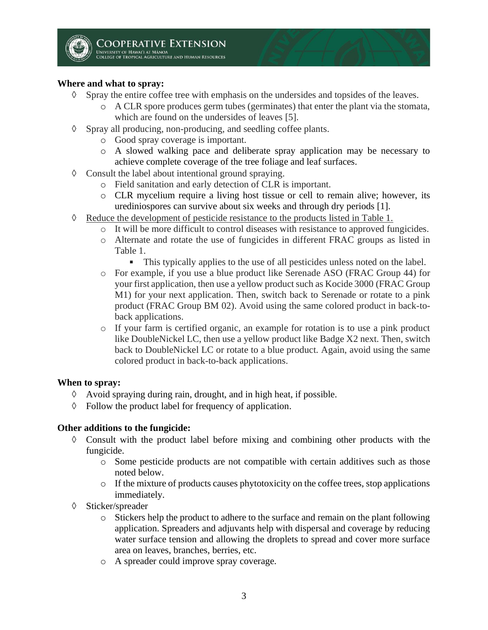## **Where and what to spray:**

- $\Diamond$  Spray the entire coffee tree with emphasis on the undersides and topsides of the leaves.
	- $\circ$  A CLR spore produces germ tubes (germinates) that enter the plant via the stomata, which are found on the undersides of leaves [5].
- $\Diamond$  Spray all producing, non-producing, and seedling coffee plants.
	- o Good spray coverage is important.
	- o A slowed walking pace and deliberate spray application may be necessary to achieve complete coverage of the tree foliage and leaf surfaces.
- $\Diamond$  Consult the label about intentional ground spraying.
	- o Field sanitation and early detection of CLR is important.
	- o CLR mycelium require a living host tissue or cell to remain alive; however, its urediniospores can survive about six weeks and through dry periods [1].
- $\Diamond$  Reduce the development of pesticide resistance to the products listed in Table 1.
	- o It will be more difficult to control diseases with resistance to approved fungicides.
	- o Alternate and rotate the use of fungicides in different FRAC groups as listed in Table 1.
		- This typically applies to the use of all pesticides unless noted on the label.
	- o For example, if you use a blue product like Serenade ASO (FRAC Group 44) for your first application, then use a yellow product such as Kocide 3000 (FRAC Group M1) for your next application. Then, switch back to Serenade or rotate to a pink product (FRAC Group BM 02). Avoid using the same colored product in back-toback applications.
	- o If your farm is certified organic, an example for rotation is to use a pink product like DoubleNickel LC, then use a yellow product like Badge X2 next. Then, switch back to DoubleNickel LC or rotate to a blue product. Again, avoid using the same colored product in back-to-back applications.

#### **When to spray:**

- $\Diamond$  Avoid spraying during rain, drought, and in high heat, if possible.
- $\Diamond$  Follow the product label for frequency of application.

#### **Other additions to the fungicide:**

- $\Diamond$  Consult with the product label before mixing and combining other products with the fungicide.
	- o Some pesticide products are not compatible with certain additives such as those noted below.
	- o If the mixture of products causes phytotoxicity on the coffee trees, stop applications immediately.
- $\Diamond$  Sticker/spreader
	- o Stickers help the product to adhere to the surface and remain on the plant following application. Spreaders and adjuvants help with dispersal and coverage by reducing water surface tension and allowing the droplets to spread and cover more surface area on leaves, branches, berries, etc.
	- o A spreader could improve spray coverage.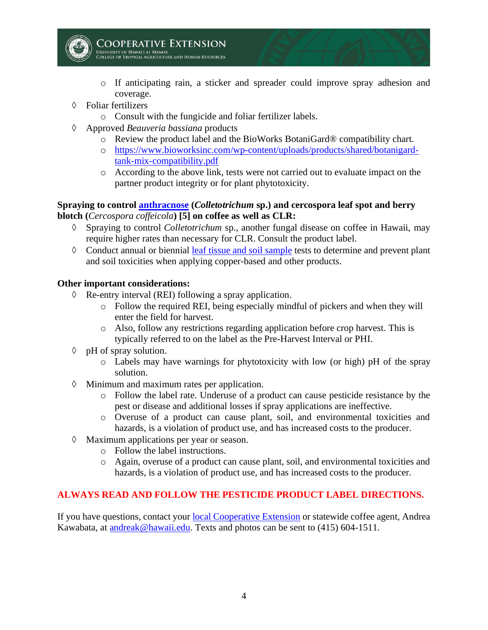

**COOPERATIVE EXTENSION** .<br>Iniversity of Hawai'i at Månoa<br>:ollege of Tropical Agriculture and Human Resources

- o If anticipating rain, a sticker and spreader could improve spray adhesion and coverage.
- Foliar fertilizers
	- o Consult with the fungicide and foliar fertilizer labels.
- Approved *Beauveria bassiana* products
	- o Review the product label and the BioWorks BotaniGard® compatibility chart.
	- o [https://www.bioworksinc.com/wp-content/uploads/products/shared/botanigard](https://www.bioworksinc.com/wp-content/uploads/products/shared/botanigard-tank-mix-compatibility.pdf)[tank-mix-compatibility.pdf](https://www.bioworksinc.com/wp-content/uploads/products/shared/botanigard-tank-mix-compatibility.pdf)
	- o According to the above link, tests were not carried out to evaluate impact on the partner product integrity or for plant phytotoxicity.

## **Spraying to control [anthracnose](https://www.hawaiicoffeeed.com/anthracnose.html) (***Colletotrichum* **sp.) and cercospora leaf spot and berry blotch (***Cercospora coffeicola***) [5] on coffee as well as CLR:**

- Spraying to control *Colletotrichum* sp., another fungal disease on coffee in Hawaii, may require higher rates than necessary for CLR. Consult the product label.
- $\Diamond$  Conduct annual or biennial [leaf tissue and soil sample](https://www.hawaiicoffeeed.com/uploads/2/6/7/7/26772370/how_to_take_coffee_leaf_and_soil_samples_110320.pdf) tests to determine and prevent plant and soil toxicities when applying copper-based and other products.

## **Other important considerations:**

- $\Diamond$  Re-entry interval (REI) following a spray application.
	- o Follow the required REI, being especially mindful of pickers and when they will enter the field for harvest.
	- o Also, follow any restrictions regarding application before crop harvest. This is typically referred to on the label as the Pre-Harvest Interval or PHI.
- $\Diamond$  pH of spray solution.
	- o Labels may have warnings for phytotoxicity with low (or high) pH of the spray solution.
- $\Diamond$  Minimum and maximum rates per application.
	- o Follow the label rate. Underuse of a product can cause pesticide resistance by the pest or disease and additional losses if spray applications are ineffective.
	- o Overuse of a product can cause plant, soil, and environmental toxicities and hazards, is a violation of product use, and has increased costs to the producer.
- Maximum applications per year or season.
	- o Follow the label instructions.
	- o Again, overuse of a product can cause plant, soil, and environmental toxicities and hazards, is a violation of product use, and has increased costs to the producer.

# **ALWAYS READ AND FOLLOW THE PESTICIDE PRODUCT LABEL DIRECTIONS.**

If you have questions, contact your [local Cooperative Extension](https://cms.ctahr.hawaii.edu/ce/Find-Us) or statewide coffee agent, Andrea Kawabata, at [andreak@hawaii.edu.](mailto:andreak@hawaii.edu) Texts and photos can be sent to (415) 604-1511.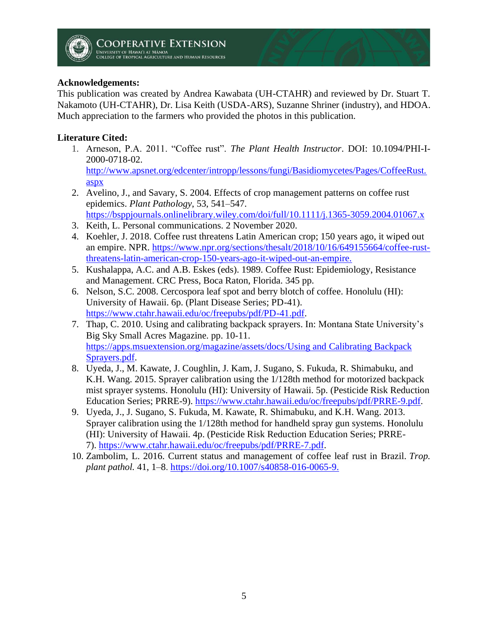# **Acknowledgements:**

This publication was created by Andrea Kawabata (UH-CTAHR) and reviewed by Dr. Stuart T. Nakamoto (UH-CTAHR), Dr. Lisa Keith (USDA-ARS), Suzanne Shriner (industry), and HDOA. Much appreciation to the farmers who provided the photos in this publication.

# **Literature Cited:**

- 1. Arneson, P.A. 2011. "Coffee rust". *The Plant Health Instructor*. DOI: 10.1094/PHI-I-2000-0718-02. [http://www.apsnet.org/edcenter/intropp/lessons/fungi/Basidiomycetes/Pages/CoffeeRust.](http://www.apsnet.org/edcenter/intropp/lessons/fungi/Basidiomycetes/Pages/CoffeeRust.aspx) [aspx](http://www.apsnet.org/edcenter/intropp/lessons/fungi/Basidiomycetes/Pages/CoffeeRust.aspx)
- 2. Avelino, J., and Savary, S. 2004. Effects of crop management patterns on coffee rust epidemics. *Plant Pathology*, 53, 541–547. <https://bsppjournals.onlinelibrary.wiley.com/doi/full/10.1111/j.1365-3059.2004.01067.x>
- 3. Keith, L. Personal communications. 2 November 2020.
- 4. Koehler, J. 2018. Coffee rust threatens Latin American crop; 150 years ago, it wiped out an empire. NPR. [https://www.npr.org/sections/thesalt/2018/10/16/649155664/coffee-rust](https://www.npr.org/sections/thesalt/2018/10/16/649155664/coffee-rust-threatens-latin-american-crop-150-years-ago-it-wiped-out-an-empire)[threatens-latin-american-crop-150-years-ago-it-wiped-out-an-empire.](https://www.npr.org/sections/thesalt/2018/10/16/649155664/coffee-rust-threatens-latin-american-crop-150-years-ago-it-wiped-out-an-empire)
- 5. Kushalappa, A.C. and A.B. Eskes (eds). 1989. Coffee Rust: Epidemiology, Resistance and Management. CRC Press, Boca Raton, Florida. 345 pp.
- 6. Nelson, S.C. 2008. Cercospora leaf spot and berry blotch of coffee. Honolulu (HI): University of Hawaii. 6p. (Plant Disease Series; PD-41). [https://www.ctahr.hawaii.edu/oc/freepubs/pdf/PD-41.pdf.](https://www.ctahr.hawaii.edu/oc/freepubs/pdf/PD-41.pdf)
- 7. Thap, C. 2010. Using and calibrating backpack sprayers. In: Montana State University's Big Sky Small Acres Magazine. pp. 10-11. [https://apps.msuextension.org/magazine/assets/docs/Using and Calibrating Backpack](https://apps.msuextension.org/magazine/assets/docs/Using%20and%20Calibrating%20Backpack%20Sprayers.pdf)  [Sprayers.pdf.](https://apps.msuextension.org/magazine/assets/docs/Using%20and%20Calibrating%20Backpack%20Sprayers.pdf)
- 8. Uyeda, J., M. Kawate, J. Coughlin, J. Kam, J. Sugano, S. Fukuda, R. Shimabuku, and K.H. Wang. 2015. Sprayer calibration using the 1/128th method for motorized backpack mist sprayer systems. Honolulu (HI): University of Hawaii. 5p. (Pesticide Risk Reduction Education Series; PRRE-9). [https://www.ctahr.hawaii.edu/oc/freepubs/pdf/PRRE-9.pdf.](https://www.ctahr.hawaii.edu/oc/freepubs/pdf/PRRE-9.pdf)
- 9. Uyeda, J., J. Sugano, S. Fukuda, M. Kawate, R. Shimabuku, and K.H. Wang. 2013. Sprayer calibration using the 1/128th method for handheld spray gun systems. Honolulu (HI): University of Hawaii. 4p. (Pesticide Risk Reduction Education Series; PRRE-7). [https://www.ctahr.hawaii.edu/oc/freepubs/pdf/PRRE-7.pdf.](https://www.ctahr.hawaii.edu/oc/freepubs/pdf/PRRE-7.pdf)
- 10. Zambolim, L. 2016. Current status and management of coffee leaf rust in Brazil. *Trop. plant pathol.* 41, 1–8. [https://doi.org/10.1007/s40858-016-0065-9.](https://doi.org/10.1007/s40858-016-0065-9)